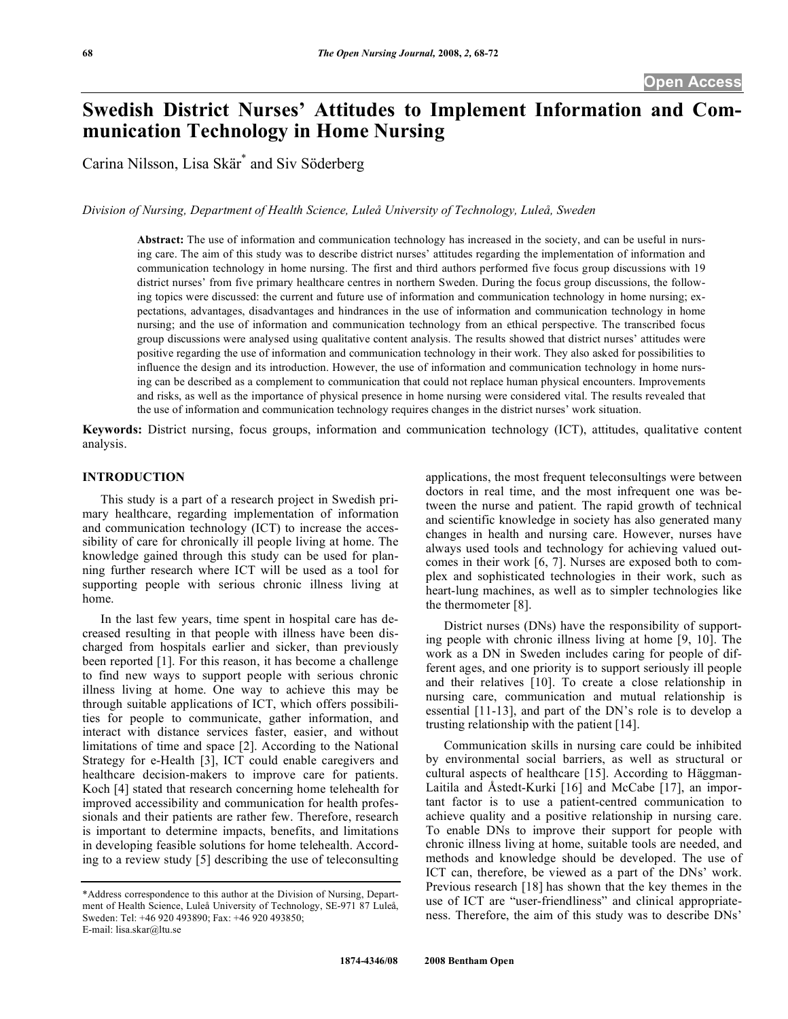# **Swedish District Nurses' Attitudes to Implement Information and Communication Technology in Home Nursing**

Carina Nilsson, Lisa Skär\* and Siv Söderberg

*Division of Nursing, Department of Health Science, Luleå University of Technology, Luleå, Sweden* 

**Abstract:** The use of information and communication technology has increased in the society, and can be useful in nursing care. The aim of this study was to describe district nurses' attitudes regarding the implementation of information and communication technology in home nursing. The first and third authors performed five focus group discussions with 19 district nurses' from five primary healthcare centres in northern Sweden. During the focus group discussions, the following topics were discussed: the current and future use of information and communication technology in home nursing; expectations, advantages, disadvantages and hindrances in the use of information and communication technology in home nursing; and the use of information and communication technology from an ethical perspective. The transcribed focus group discussions were analysed using qualitative content analysis. The results showed that district nurses' attitudes were positive regarding the use of information and communication technology in their work. They also asked for possibilities to influence the design and its introduction. However, the use of information and communication technology in home nursing can be described as a complement to communication that could not replace human physical encounters. Improvements and risks, as well as the importance of physical presence in home nursing were considered vital. The results revealed that the use of information and communication technology requires changes in the district nurses' work situation.

**Keywords:** District nursing, focus groups, information and communication technology (ICT), attitudes, qualitative content analysis.

# **INTRODUCTION**

 This study is a part of a research project in Swedish primary healthcare, regarding implementation of information and communication technology (ICT) to increase the accessibility of care for chronically ill people living at home. The knowledge gained through this study can be used for planning further research where ICT will be used as a tool for supporting people with serious chronic illness living at home.

 In the last few years, time spent in hospital care has decreased resulting in that people with illness have been discharged from hospitals earlier and sicker, than previously been reported [1]. For this reason, it has become a challenge to find new ways to support people with serious chronic illness living at home. One way to achieve this may be through suitable applications of ICT, which offers possibilities for people to communicate, gather information, and interact with distance services faster, easier, and without limitations of time and space [2]. According to the National Strategy for e-Health [3], ICT could enable caregivers and healthcare decision-makers to improve care for patients. Koch [4] stated that research concerning home telehealth for improved accessibility and communication for health professionals and their patients are rather few. Therefore, research is important to determine impacts, benefits, and limitations in developing feasible solutions for home telehealth. According to a review study [5] describing the use of teleconsulting

applications, the most frequent teleconsultings were between doctors in real time, and the most infrequent one was between the nurse and patient. The rapid growth of technical and scientific knowledge in society has also generated many changes in health and nursing care. However, nurses have always used tools and technology for achieving valued outcomes in their work [6, 7]. Nurses are exposed both to complex and sophisticated technologies in their work, such as heart-lung machines, as well as to simpler technologies like the thermometer [8].

 District nurses (DNs) have the responsibility of supporting people with chronic illness living at home [9, 10]. The work as a DN in Sweden includes caring for people of different ages, and one priority is to support seriously ill people and their relatives [10]. To create a close relationship in nursing care, communication and mutual relationship is essential [11-13], and part of the DN's role is to develop a trusting relationship with the patient [14].

 Communication skills in nursing care could be inhibited by environmental social barriers, as well as structural or cultural aspects of healthcare [15]. According to Häggman-Laitila and Åstedt-Kurki [16] and McCabe [17], an important factor is to use a patient-centred communication to achieve quality and a positive relationship in nursing care. To enable DNs to improve their support for people with chronic illness living at home, suitable tools are needed, and methods and knowledge should be developed. The use of ICT can, therefore, be viewed as a part of the DNs' work. Previous research [18] has shown that the key themes in the use of ICT are "user-friendliness" and clinical appropriateness. Therefore, the aim of this study was to describe DNs'

<sup>\*</sup>Address correspondence to this author at the Division of Nursing, Department of Health Science, Luleå University of Technology, SE-971 87 Luleå, Sweden: Tel: +46 920 493890; Fax: +46 920 493850; E-mail: lisa.skar@ltu.se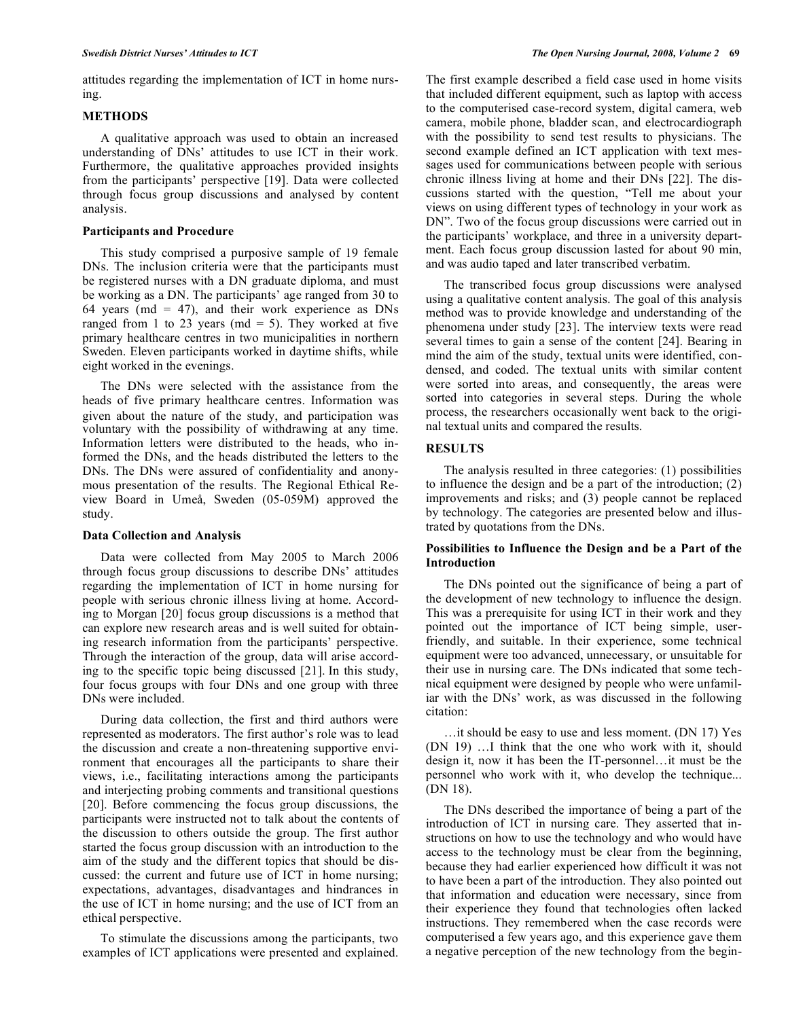attitudes regarding the implementation of ICT in home nursing.

# **METHODS**

 A qualitative approach was used to obtain an increased understanding of DNs' attitudes to use ICT in their work. Furthermore, the qualitative approaches provided insights from the participants' perspective [19]. Data were collected through focus group discussions and analysed by content analysis.

# **Participants and Procedure**

 This study comprised a purposive sample of 19 female DNs. The inclusion criteria were that the participants must be registered nurses with a DN graduate diploma, and must be working as a DN. The participants' age ranged from 30 to 64 years (md = 47), and their work experience as  $DNs$ ranged from 1 to 23 years ( $md = 5$ ). They worked at five primary healthcare centres in two municipalities in northern Sweden. Eleven participants worked in daytime shifts, while eight worked in the evenings.

 The DNs were selected with the assistance from the heads of five primary healthcare centres. Information was given about the nature of the study, and participation was voluntary with the possibility of withdrawing at any time. Information letters were distributed to the heads, who informed the DNs, and the heads distributed the letters to the DNs. The DNs were assured of confidentiality and anonymous presentation of the results. The Regional Ethical Review Board in Umeå, Sweden (05-059M) approved the study.

# **Data Collection and Analysis**

 Data were collected from May 2005 to March 2006 through focus group discussions to describe DNs' attitudes regarding the implementation of ICT in home nursing for people with serious chronic illness living at home. According to Morgan [20] focus group discussions is a method that can explore new research areas and is well suited for obtaining research information from the participants' perspective. Through the interaction of the group, data will arise according to the specific topic being discussed [21]. In this study, four focus groups with four DNs and one group with three DNs were included.

 During data collection, the first and third authors were represented as moderators. The first author's role was to lead the discussion and create a non-threatening supportive environment that encourages all the participants to share their views, i.e., facilitating interactions among the participants and interjecting probing comments and transitional questions [20]. Before commencing the focus group discussions, the participants were instructed not to talk about the contents of the discussion to others outside the group. The first author started the focus group discussion with an introduction to the aim of the study and the different topics that should be discussed: the current and future use of ICT in home nursing; expectations, advantages, disadvantages and hindrances in the use of ICT in home nursing; and the use of ICT from an ethical perspective.

 To stimulate the discussions among the participants, two examples of ICT applications were presented and explained. The first example described a field case used in home visits that included different equipment, such as laptop with access to the computerised case-record system, digital camera, web camera, mobile phone, bladder scan, and electrocardiograph with the possibility to send test results to physicians. The second example defined an ICT application with text messages used for communications between people with serious chronic illness living at home and their DNs [22]. The discussions started with the question, "Tell me about your views on using different types of technology in your work as DN". Two of the focus group discussions were carried out in the participants' workplace, and three in a university department. Each focus group discussion lasted for about 90 min, and was audio taped and later transcribed verbatim.

 The transcribed focus group discussions were analysed using a qualitative content analysis. The goal of this analysis method was to provide knowledge and understanding of the phenomena under study [23]. The interview texts were read several times to gain a sense of the content [24]. Bearing in mind the aim of the study, textual units were identified, condensed, and coded. The textual units with similar content were sorted into areas, and consequently, the areas were sorted into categories in several steps. During the whole process, the researchers occasionally went back to the original textual units and compared the results.

# **RESULTS**

 The analysis resulted in three categories: (1) possibilities to influence the design and be a part of the introduction; (2) improvements and risks; and (3) people cannot be replaced by technology. The categories are presented below and illustrated by quotations from the DNs.

# **Possibilities to Influence the Design and be a Part of the Introduction**

 The DNs pointed out the significance of being a part of the development of new technology to influence the design. This was a prerequisite for using ICT in their work and they pointed out the importance of ICT being simple, userfriendly, and suitable. In their experience, some technical equipment were too advanced, unnecessary, or unsuitable for their use in nursing care. The DNs indicated that some technical equipment were designed by people who were unfamiliar with the DNs' work, as was discussed in the following citation:

 …it should be easy to use and less moment. (DN 17) Yes (DN 19) …I think that the one who work with it, should design it, now it has been the IT-personnel…it must be the personnel who work with it, who develop the technique... (DN 18).

 The DNs described the importance of being a part of the introduction of ICT in nursing care. They asserted that instructions on how to use the technology and who would have access to the technology must be clear from the beginning, because they had earlier experienced how difficult it was not to have been a part of the introduction. They also pointed out that information and education were necessary, since from their experience they found that technologies often lacked instructions. They remembered when the case records were computerised a few years ago, and this experience gave them a negative perception of the new technology from the begin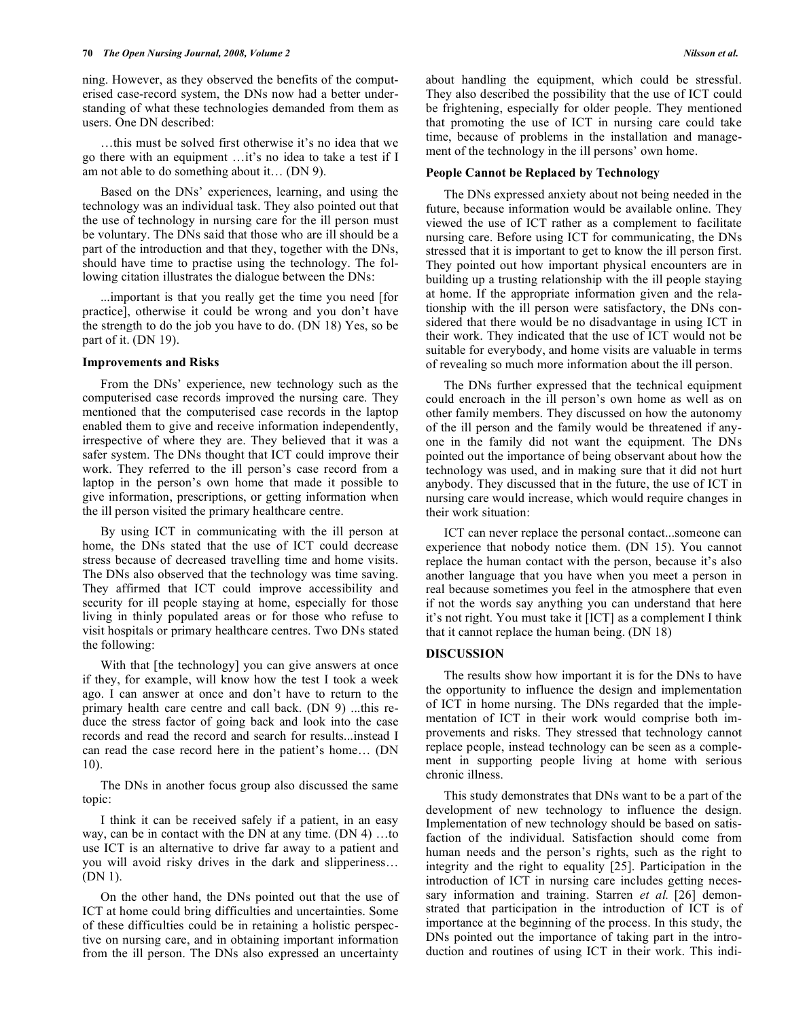ning. However, as they observed the benefits of the computerised case-record system, the DNs now had a better understanding of what these technologies demanded from them as users. One DN described:

 …this must be solved first otherwise it's no idea that we go there with an equipment …it's no idea to take a test if I am not able to do something about it… (DN 9).

 Based on the DNs' experiences, learning, and using the technology was an individual task. They also pointed out that the use of technology in nursing care for the ill person must be voluntary. The DNs said that those who are ill should be a part of the introduction and that they, together with the DNs, should have time to practise using the technology. The following citation illustrates the dialogue between the DNs:

 ...important is that you really get the time you need [for practice], otherwise it could be wrong and you don't have the strength to do the job you have to do. (DN 18) Yes, so be part of it. (DN 19).

#### **Improvements and Risks**

 From the DNs' experience, new technology such as the computerised case records improved the nursing care. They mentioned that the computerised case records in the laptop enabled them to give and receive information independently, irrespective of where they are. They believed that it was a safer system. The DNs thought that ICT could improve their work. They referred to the ill person's case record from a laptop in the person's own home that made it possible to give information, prescriptions, or getting information when the ill person visited the primary healthcare centre.

 By using ICT in communicating with the ill person at home, the DNs stated that the use of ICT could decrease stress because of decreased travelling time and home visits. The DNs also observed that the technology was time saving. They affirmed that ICT could improve accessibility and security for ill people staying at home, especially for those living in thinly populated areas or for those who refuse to visit hospitals or primary healthcare centres. Two DNs stated the following:

With that [the technology] you can give answers at once if they, for example, will know how the test I took a week ago. I can answer at once and don't have to return to the primary health care centre and call back. (DN 9) ...this reduce the stress factor of going back and look into the case records and read the record and search for results...instead I can read the case record here in the patient's home… (DN 10).

 The DNs in another focus group also discussed the same topic:

 I think it can be received safely if a patient, in an easy way, can be in contact with the DN at any time. (DN 4) …to use ICT is an alternative to drive far away to a patient and you will avoid risky drives in the dark and slipperiness… (DN 1).

 On the other hand, the DNs pointed out that the use of ICT at home could bring difficulties and uncertainties. Some of these difficulties could be in retaining a holistic perspective on nursing care, and in obtaining important information from the ill person. The DNs also expressed an uncertainty

about handling the equipment, which could be stressful. They also described the possibility that the use of ICT could be frightening, especially for older people. They mentioned that promoting the use of ICT in nursing care could take time, because of problems in the installation and management of the technology in the ill persons' own home.

#### **People Cannot be Replaced by Technology**

 The DNs expressed anxiety about not being needed in the future, because information would be available online. They viewed the use of ICT rather as a complement to facilitate nursing care. Before using ICT for communicating, the DNs stressed that it is important to get to know the ill person first. They pointed out how important physical encounters are in building up a trusting relationship with the ill people staying at home. If the appropriate information given and the relationship with the ill person were satisfactory, the DNs considered that there would be no disadvantage in using ICT in their work. They indicated that the use of ICT would not be suitable for everybody, and home visits are valuable in terms of revealing so much more information about the ill person.

 The DNs further expressed that the technical equipment could encroach in the ill person's own home as well as on other family members. They discussed on how the autonomy of the ill person and the family would be threatened if anyone in the family did not want the equipment. The DNs pointed out the importance of being observant about how the technology was used, and in making sure that it did not hurt anybody. They discussed that in the future, the use of ICT in nursing care would increase, which would require changes in their work situation:

 ICT can never replace the personal contact...someone can experience that nobody notice them. (DN 15). You cannot replace the human contact with the person, because it's also another language that you have when you meet a person in real because sometimes you feel in the atmosphere that even if not the words say anything you can understand that here it's not right. You must take it [ICT] as a complement I think that it cannot replace the human being. (DN 18)

#### **DISCUSSION**

 The results show how important it is for the DNs to have the opportunity to influence the design and implementation of ICT in home nursing. The DNs regarded that the implementation of ICT in their work would comprise both improvements and risks. They stressed that technology cannot replace people, instead technology can be seen as a complement in supporting people living at home with serious chronic illness.

 This study demonstrates that DNs want to be a part of the development of new technology to influence the design. Implementation of new technology should be based on satisfaction of the individual. Satisfaction should come from human needs and the person's rights, such as the right to integrity and the right to equality [25]. Participation in the introduction of ICT in nursing care includes getting necessary information and training. Starren *et al.* [26] demonstrated that participation in the introduction of ICT is of importance at the beginning of the process. In this study, the DNs pointed out the importance of taking part in the introduction and routines of using ICT in their work. This indi-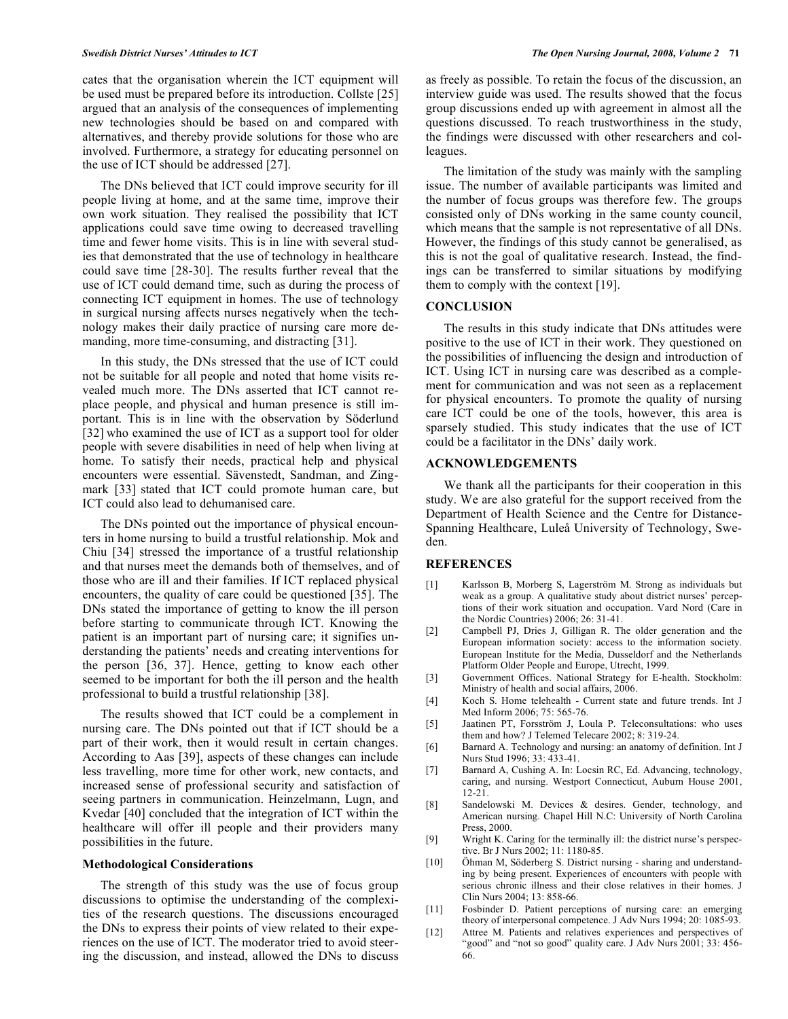cates that the organisation wherein the ICT equipment will be used must be prepared before its introduction. Collste [25] argued that an analysis of the consequences of implementing new technologies should be based on and compared with alternatives, and thereby provide solutions for those who are involved. Furthermore, a strategy for educating personnel on the use of ICT should be addressed [27].

 The DNs believed that ICT could improve security for ill people living at home, and at the same time, improve their own work situation. They realised the possibility that ICT applications could save time owing to decreased travelling time and fewer home visits. This is in line with several studies that demonstrated that the use of technology in healthcare could save time [28-30]. The results further reveal that the use of ICT could demand time, such as during the process of connecting ICT equipment in homes. The use of technology in surgical nursing affects nurses negatively when the technology makes their daily practice of nursing care more demanding, more time-consuming, and distracting [31].

 In this study, the DNs stressed that the use of ICT could not be suitable for all people and noted that home visits revealed much more. The DNs asserted that ICT cannot replace people, and physical and human presence is still important. This is in line with the observation by Söderlund [32] who examined the use of ICT as a support tool for older people with severe disabilities in need of help when living at home. To satisfy their needs, practical help and physical encounters were essential. Sävenstedt, Sandman, and Zingmark [33] stated that ICT could promote human care, but ICT could also lead to dehumanised care.

 The DNs pointed out the importance of physical encounters in home nursing to build a trustful relationship. Mok and Chiu [34] stressed the importance of a trustful relationship and that nurses meet the demands both of themselves, and of those who are ill and their families. If ICT replaced physical encounters, the quality of care could be questioned [35]. The DNs stated the importance of getting to know the ill person before starting to communicate through ICT. Knowing the patient is an important part of nursing care; it signifies understanding the patients' needs and creating interventions for the person [36, 37]. Hence, getting to know each other seemed to be important for both the ill person and the health professional to build a trustful relationship [38].

 The results showed that ICT could be a complement in nursing care. The DNs pointed out that if ICT should be a part of their work, then it would result in certain changes. According to Aas [39], aspects of these changes can include less travelling, more time for other work, new contacts, and increased sense of professional security and satisfaction of seeing partners in communication. Heinzelmann, Lugn, and Kvedar [40] concluded that the integration of ICT within the healthcare will offer ill people and their providers many possibilities in the future.

#### **Methodological Considerations**

 The strength of this study was the use of focus group discussions to optimise the understanding of the complexities of the research questions. The discussions encouraged the DNs to express their points of view related to their experiences on the use of ICT. The moderator tried to avoid steering the discussion, and instead, allowed the DNs to discuss as freely as possible. To retain the focus of the discussion, an interview guide was used. The results showed that the focus group discussions ended up with agreement in almost all the questions discussed. To reach trustworthiness in the study, the findings were discussed with other researchers and colleagues.

 The limitation of the study was mainly with the sampling issue. The number of available participants was limited and the number of focus groups was therefore few. The groups consisted only of DNs working in the same county council, which means that the sample is not representative of all DNs. However, the findings of this study cannot be generalised, as this is not the goal of qualitative research. Instead, the findings can be transferred to similar situations by modifying them to comply with the context [19].

# **CONCLUSION**

 The results in this study indicate that DNs attitudes were positive to the use of ICT in their work. They questioned on the possibilities of influencing the design and introduction of ICT. Using ICT in nursing care was described as a complement for communication and was not seen as a replacement for physical encounters. To promote the quality of nursing care ICT could be one of the tools, however, this area is sparsely studied. This study indicates that the use of ICT could be a facilitator in the DNs' daily work.

#### **ACKNOWLEDGEMENTS**

 We thank all the participants for their cooperation in this study. We are also grateful for the support received from the Department of Health Science and the Centre for Distance-Spanning Healthcare, Luleå University of Technology, Sweden.

### **REFERENCES**

- [1] Karlsson B, Morberg S, Lagerström M. Strong as individuals but weak as a group. A qualitative study about district nurses' perceptions of their work situation and occupation. Vard Nord (Care in the Nordic Countries) 2006; 26: 31-41.
- [2] Campbell PJ, Dries J, Gilligan R. The older generation and the European information society: access to the information society. European Institute for the Media, Dusseldorf and the Netherlands Platform Older People and Europe, Utrecht, 1999.
- [3] Government Offices. National Strategy for E-health. Stockholm: Ministry of health and social affairs, 2006.
- [4] Koch S. Home telehealth Current state and future trends. Int J Med Inform 2006; 75: 565-76.
- [5] Jaatinen PT, Forsström J, Loula P. Teleconsultations: who uses them and how? J Telemed Telecare 2002; 8: 319-24.
- [6] Barnard A. Technology and nursing: an anatomy of definition. Int J Nurs Stud 1996; 33: 433-41.
- [7] Barnard A, Cushing A. In: Locsin RC, Ed. Advancing, technology, caring, and nursing. Westport Connecticut, Auburn House 2001, 12-21.
- [8] Sandelowski M. Devices & desires. Gender, technology, and American nursing. Chapel Hill N.C: University of North Carolina Press, 2000.
- [9] Wright K. Caring for the terminally ill: the district nurse's perspective. Br J Nurs 2002; 11: 1180-85.
- [10] Öhman M, Söderberg S. District nursing sharing and understanding by being present. Experiences of encounters with people with serious chronic illness and their close relatives in their homes. J Clin Nurs 2004; 13: 858-66.
- [11] Fosbinder D. Patient perceptions of nursing care: an emerging theory of interpersonal competence. J Adv Nurs 1994; 20: 1085-93.
- [12] Attree M. Patients and relatives experiences and perspectives of "good" and "not so good" quality care. J Adv Nurs 2001; 33: 456-66.